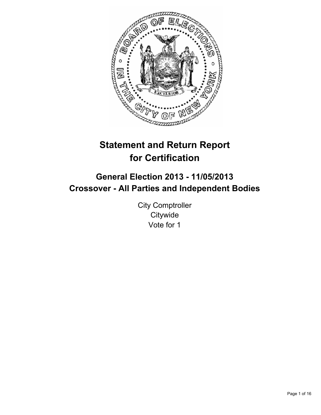

# **Statement and Return Report for Certification**

## **General Election 2013 - 11/05/2013 Crossover - All Parties and Independent Bodies**

City Comptroller **Citywide** Vote for 1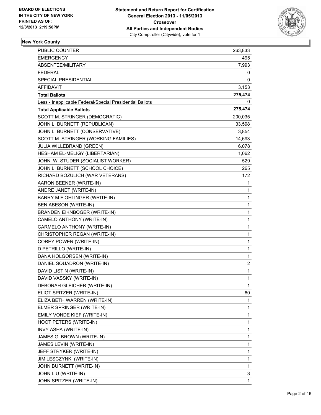

## **New York County**

| <b>PUBLIC COUNTER</b>                                    | 263,833 |
|----------------------------------------------------------|---------|
| <b>EMERGENCY</b>                                         | 495     |
| ABSENTEE/MILITARY                                        | 7,993   |
| <b>FEDERAL</b>                                           | 0       |
| <b>SPECIAL PRESIDENTIAL</b>                              | 0       |
| AFFIDAVIT                                                | 3,153   |
| <b>Total Ballots</b>                                     | 275,474 |
| Less - Inapplicable Federal/Special Presidential Ballots | 0       |
| <b>Total Applicable Ballots</b>                          | 275,474 |
| SCOTT M. STRINGER (DEMOCRATIC)                           | 200,035 |
| JOHN L. BURNETT (REPUBLICAN)                             | 33,598  |
| JOHN L. BURNETT (CONSERVATIVE)                           | 3,854   |
| SCOTT M. STRINGER (WORKING FAMILIES)                     | 14,693  |
| JULIA WILLEBRAND (GREEN)                                 | 6,078   |
| HESHAM EL-MELIGY (LIBERTARIAN)                           | 1,062   |
| JOHN W. STUDER (SOCIALIST WORKER)                        | 529     |
| JOHN L. BURNETT (SCHOOL CHOICE)                          | 265     |
| RICHARD BOZULICH (WAR VETERANS)                          | 172     |
| AARON BEENER (WRITE-IN)                                  | 1       |
| ANDRE JANET (WRITE-IN)                                   | 1       |
| BARRY M FIOHLINGER (WRITE-IN)                            | 1       |
| BEN ABESON (WRITE-IN)                                    | 1       |
| BRANDEN EIKNBOGER (WRITE-IN)                             | 1       |
| CAMELO ANTHONY (WRITE-IN)                                | 1       |
| CARMELO ANTHONY (WRITE-IN)                               | 1       |
| CHRISTOPHER REGAN (WRITE-IN)                             | 1       |
| COREY POWER (WRITE-IN)                                   | 1       |
| D PETRILLO (WRITE-IN)                                    | 1       |
| DANA HOLGORSEN (WRITE-IN)                                | 1       |
| DANIEL SQUADRON (WRITE-IN)                               | 2       |
| DAVID LISTIN (WRITE-IN)                                  | 1       |
| DAVID VASSKY (WRITE-IN)                                  | 1       |
| DEBORAH GLEICHER (WRITE-IN)                              | 1       |
| ELIOT SPITZER (WRITE-IN)                                 | 60      |
| ELIZA BETH WARREN (WRITE-IN)                             | 1       |
| ELMER SPRINGER (WRITE-IN)                                | 1       |
| EMILY VONDE KIEF (WRITE-IN)                              | 1       |
| HOOT PETERS (WRITE-IN)                                   | 1       |
| INVY ASHA (WRITE-IN)                                     | 1       |
| JAMES G. BROWN (WRITE-IN)                                | 1       |
| JAMES LEVIN (WRITE-IN)                                   | 1       |
| JEFF STRYKER (WRITE-IN)                                  | 1       |
| JIM LESCZYNKI (WRITE-IN)                                 | 1       |
| JOHN BURNETT (WRITE-IN)                                  | 1       |
| JOHN LIU (WRITE-IN)                                      | 3       |
| JOHN SPITZER (WRITE-IN)                                  | 1       |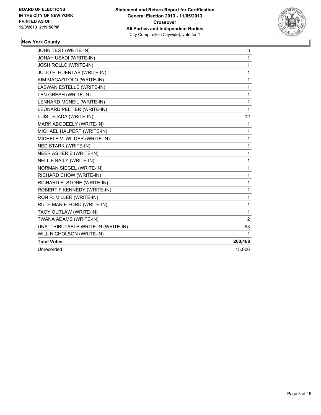

## **New York County**

| JOHN TEST (WRITE-IN)               | 3       |
|------------------------------------|---------|
| <b>JONAH USADI (WRITE-IN)</b>      | 1       |
| JOSH ROLLO (WRITE-IN)              | 1       |
| JULIO E. HUENTAS (WRITE-IN)        | 1       |
| KIM MAGAZITOLO (WRITE-IN)          | 1       |
| LASWAN ESTELLE (WRITE-IN)          | 1       |
| LEN GRESH (WRITE-IN)               | 1       |
| LENNARD MCNEIL (WRITE-IN)          | 1       |
| LEONARD PELTIER (WRITE-IN)         | 1       |
| LUIS TEJADA (WRITE-IN)             | 12      |
| MARK ABODEELY (WRITE-IN)           | 1       |
| MICHAEL HALPERT (WRITE-IN)         | 1       |
| MICHELE V. WILDER (WRITE-IN)       | 1       |
| <b>NED STARK (WRITE-IN)</b>        | 1       |
| NEER ASHERIE (WRITE-IN)            | 1       |
| <b>NELLIE BAILY (WRITE-IN)</b>     | 1       |
| NORMAN SIEGEL (WRITE-IN)           | 1       |
| RICHARD CHOW (WRITE-IN)            | 1       |
| RICHARD E. STONE (WRITE-IN)        | 1       |
| ROBERT F KENNEDY (WRITE-IN)        | 1       |
| RON R. MILLER (WRITE-IN)           | 1       |
| RUTH MARIE FORD (WRITE-IN)         | 1       |
| TAOY OUTLAW (WRITE-IN)             | 1       |
| TWANA ADAMS (WRITE-IN)             | 2       |
| UNATTRIBUTABLE WRITE-IN (WRITE-IN) | 53      |
| WILL NICHOLSON (WRITE-IN)          | 1       |
| <b>Total Votes</b>                 | 260,468 |
| Unrecorded                         | 15,006  |
|                                    |         |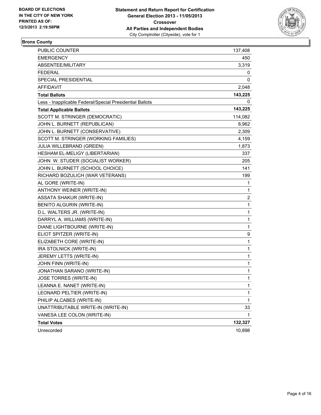

## **Bronx County**

| <b>PUBLIC COUNTER</b>                                    | 137,408                 |
|----------------------------------------------------------|-------------------------|
| <b>EMERGENCY</b>                                         | 450                     |
| ABSENTEE/MILITARY                                        | 3,319                   |
| <b>FEDERAL</b>                                           | 0                       |
| <b>SPECIAL PRESIDENTIAL</b>                              | 0                       |
| AFFIDAVIT                                                | 2,048                   |
| <b>Total Ballots</b>                                     | 143,225                 |
| Less - Inapplicable Federal/Special Presidential Ballots | 0                       |
| <b>Total Applicable Ballots</b>                          | 143,225                 |
| SCOTT M. STRINGER (DEMOCRATIC)                           | 114,082                 |
| JOHN L. BURNETT (REPUBLICAN)                             | 8,962                   |
| JOHN L. BURNETT (CONSERVATIVE)                           | 2,309                   |
| SCOTT M. STRINGER (WORKING FAMILIES)                     | 4,159                   |
| JULIA WILLEBRAND (GREEN)                                 | 1,873                   |
| HESHAM EL-MELIGY (LIBERTARIAN)                           | 337                     |
| JOHN W. STUDER (SOCIALIST WORKER)                        | 205                     |
| JOHN L. BURNETT (SCHOOL CHOICE)                          | 141                     |
| RICHARD BOZULICH (WAR VETERANS)                          | 199                     |
| AL GORE (WRITE-IN)                                       | 1                       |
| ANTHONY WEINER (WRITE-IN)                                | 1                       |
| <b>ASSATA SHAKUR (WRITE-IN)</b>                          | $\overline{\mathbf{c}}$ |
| BENITO ALGURIN (WRITE-IN)                                | $\mathbf{1}$            |
| D.L. WALTERS JR. (WRITE-IN)                              | 1                       |
| DARRYL A. WILLIAMS (WRITE-IN)                            | $\mathbf{1}$            |
| DIANE LIGHTBOURNE (WRITE-IN)                             | 1                       |
| ELIOT SPITZER (WRITE-IN)                                 | 9                       |
| ELIZABETH CORE (WRITE-IN)                                | $\mathbf{1}$            |
| IRA STOLNICK (WRITE-IN)                                  | 1                       |
| JEREMY LETTS (WRITE-IN)                                  | 1                       |
| JOHN FINN (WRITE-IN)                                     | $\mathbf{1}$            |
| JONATHAN SARANO (WRITE-IN)                               | 1                       |
| JOSE TORRES (WRITE-IN)                                   | $\mathbf{1}$            |
| LEANNA E. NANET (WRITE-IN)                               | 1                       |
| LEONARD PELTIER (WRITE-IN)                               | 1                       |
| PHILIP ALCABES (WRITE-IN)                                | $\mathbf{1}$            |
| UNATTRIBUTABLE WRITE-IN (WRITE-IN)                       | 33                      |
| VANESA LEE COLON (WRITE-IN)                              | 1                       |
| <b>Total Votes</b>                                       | 132,327                 |
| Unrecorded                                               | 10,898                  |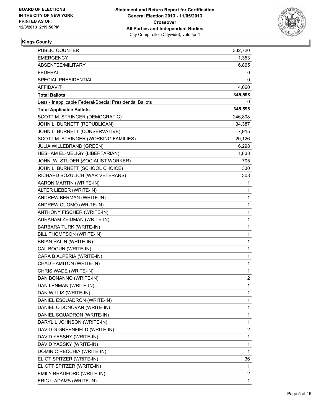

## **Kings County**

| <b>PUBLIC COUNTER</b>                                    | 332,720        |
|----------------------------------------------------------|----------------|
| <b>EMERGENCY</b>                                         | 1,353          |
| ABSENTEE/MILITARY                                        | 6,865          |
| <b>FEDERAL</b>                                           | 0              |
| SPECIAL PRESIDENTIAL                                     | 0              |
| AFFIDAVIT                                                | 4,660          |
| <b>Total Ballots</b>                                     | 345,598        |
| Less - Inapplicable Federal/Special Presidential Ballots | 0              |
| <b>Total Applicable Ballots</b>                          | 345,598        |
| SCOTT M. STRINGER (DEMOCRATIC)                           | 246,808        |
| JOHN L. BURNETT (REPUBLICAN)                             | 34,387         |
| JOHN L. BURNETT (CONSERVATIVE)                           | 7,915          |
| SCOTT M. STRINGER (WORKING FAMILIES)                     | 20,126         |
| JULIA WILLEBRAND (GREEN)                                 | 6,298          |
| HESHAM EL-MELIGY (LIBERTARIAN)                           | 1,838          |
| JOHN W. STUDER (SOCIALIST WORKER)                        | 705            |
| JOHN L. BURNETT (SCHOOL CHOICE)                          | 330            |
| RICHARD BOZULICH (WAR VETERANS)                          | 308            |
| AARON MARTIN (WRITE-IN)                                  | 1              |
| ALTER LIEBER (WRITE-IN)                                  | 1              |
| ANDREW BERMAN (WRITE-IN)                                 | 1              |
| ANDREW CUOMO (WRITE-IN)                                  | 1              |
| ANTHONY FISCHER (WRITE-IN)                               | 1              |
| AURAHAM ZEIDMAN (WRITE-IN)                               | 1              |
| <b>BARBARA TURK (WRITE-IN)</b>                           | 1              |
| BILL THOMPSON (WRITE-IN)                                 | 1              |
| BRIAN HALIN (WRITE-IN)                                   | 1              |
| CAL BOGUN (WRITE-IN)                                     | 1              |
| CARA B ALPERIA (WRITE-IN)                                | 1              |
| CHAD HAMITON (WRITE-IN)                                  | 1              |
| CHRIS WADE (WRITE-IN)                                    | 1              |
| DAN BONANNO (WRITE-IN)                                   | $\overline{2}$ |
| DAN LENMAN (WRITE-IN)                                    | 1              |
| DAN WILLIS (WRITE-IN)                                    | 1              |
| DANIEL ESCUADRON (WRITE-IN)                              | 1              |
| DANIEL O'DONOVAN (WRITE-IN)                              | 1              |
| DANIEL SQUADRON (WRITE-IN)                               | 1              |
| DARYL L JOHNSON (WRITE-IN)                               | 1              |
| DAVID G GREENFIELD (WRITE-IN)                            | 2              |
| DAVID YASSHY (WRITE-IN)                                  | 1              |
| DAVID YASSKY (WRITE-IN)                                  | 1              |
| DOMINIC RECCHIA (WRITE-IN)                               | 1              |
| ELIOT SPITZER (WRITE-IN)                                 | 36             |
| ELIOTT SPITZER (WRITE-IN)                                | $\mathbf{1}$   |
| EMILY BRADFORD (WRITE-IN)                                | 2              |
| ERIC L ADAMS (WRITE-IN)                                  | 1              |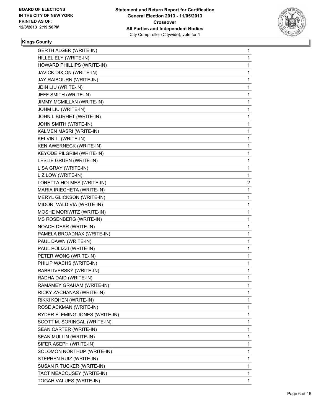

### **Kings County**

| <b>GERTH ALGER (WRITE-IN)</b>    | 1 |
|----------------------------------|---|
| HILLEL ELY (WRITE-IN)            | 1 |
| HOWARD PHILLIPS (WRITE-IN)       | 1 |
| JAVICK DIXION (WRITE-IN)         | 1 |
| JAY RAIBOURN (WRITE-IN)          | 1 |
| JDIN LIU (WRITE-IN)              | 1 |
| JEFF SMITH (WRITE-IN)            | 1 |
| JIMMY MCMILLAN (WRITE-IN)        | 1 |
| JOHM LIU (WRITE-IN)              | 1 |
| JOHN L BURHET (WRITE-IN)         | 1 |
| JOHN SMITH (WRITE-IN)            | 1 |
| KALMEN MASRI (WRITE-IN)          | 1 |
| KELVIN LI (WRITE-IN)             | 1 |
| KEN AWERNECK (WRITE-IN)          | 1 |
| <b>KEYODE PILGRIM (WRITE-IN)</b> | 1 |
| LESLIE GRUEN (WRITE-IN)          | 1 |
| LISA GRAY (WRITE-IN)             | 1 |
| LIZ LOW (WRITE-IN)               | 1 |
| LORETTA HOLMES (WRITE-IN)        | 2 |
| MARIA IRIECHETA (WRITE-IN)       | 1 |
| MERYL GLICKSON (WRITE-IN)        | 1 |
| MIDORI VALDIVIA (WRITE-IN)       | 1 |
| MOSHE MORIWITZ (WRITE-IN)        | 1 |
| MS ROSENBERG (WRITE-IN)          | 1 |
| NOACH DEAR (WRITE-IN)            | 1 |
| PAMELA BROADNAX (WRITE-IN)       | 1 |
| PAUL DAWN (WRITE-IN)             | 1 |
| PAUL POLIZZI (WRITE-IN)          | 1 |
| PETER WONG (WRITE-IN)            | 1 |
| PHILIP WACHS (WRITE-IN)          | 1 |
| RABBI IVERSKY (WRITE-IN)         | 1 |
| RADHA DAID (WRITE-IN)            | 1 |
| RAMAMEY GRAHAM (WRITE-IN)        | 1 |
| RICKY ZACHANAS (WRITE-IN)        | 1 |
| RIKKI KOHEN (WRITE-IN)           | 1 |
| ROSE ACKMAN (WRITE-IN)           | 1 |
| RYDER FLEMING JONES (WRITE-IN)   | 1 |
| SCOTT M. SORINGAL (WRITE-IN)     | 1 |
| SEAN CARTER (WRITE-IN)           | 1 |
| SEAN MULLIN (WRITE-IN)           | 1 |
| SIFER ASEPH (WRITE-IN)           | 1 |
| SOLOMON NORTHUP (WRITE-IN)       | 1 |
| STEPHEN RUIZ (WRITE-IN)          | 1 |
| SUSAN R TUCKER (WRITE-IN)        | 1 |
| TACT MEACOUSEY (WRITE-IN)        | 1 |
| TOGAH VALUES (WRITE-IN)          | 1 |
|                                  |   |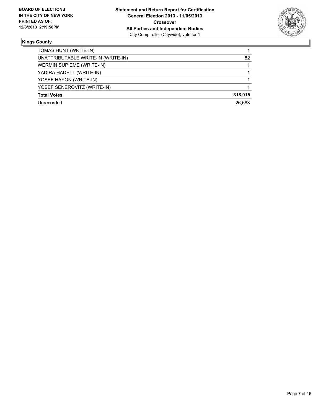

#### **Kings County**

| TOMAS HUNT (WRITE-IN)              |         |
|------------------------------------|---------|
| UNATTRIBUTABLE WRITE-IN (WRITE-IN) | 82      |
| WERMIN SUPIEME (WRITE-IN)          |         |
| YADIRA HADETT (WRITE-IN)           |         |
| YOSEF HAYON (WRITE-IN)             |         |
| YOSEF SENEROVITZ (WRITE-IN)        |         |
| <b>Total Votes</b>                 | 318,915 |
| Unrecorded                         | 26.683  |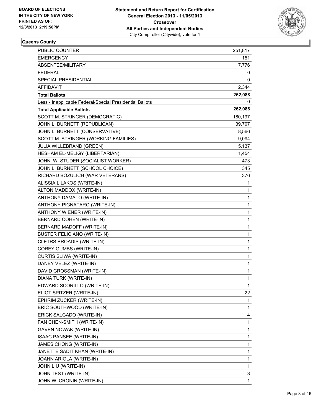

#### **Queens County**

| PUBLIC COUNTER                                           | 251,817      |
|----------------------------------------------------------|--------------|
| <b>EMERGENCY</b>                                         | 151          |
| ABSENTEE/MILITARY                                        | 7,776        |
| <b>FEDERAL</b>                                           | 0            |
| SPECIAL PRESIDENTIAL                                     | 0            |
| AFFIDAVIT                                                | 2,344        |
| <b>Total Ballots</b>                                     | 262,088      |
| Less - Inapplicable Federal/Special Presidential Ballots | 0            |
| <b>Total Applicable Ballots</b>                          | 262,088      |
| SCOTT M. STRINGER (DEMOCRATIC)                           | 180,197      |
| JOHN L. BURNETT (REPUBLICAN)                             | 39,707       |
| JOHN L. BURNETT (CONSERVATIVE)                           | 8,566        |
| SCOTT M. STRINGER (WORKING FAMILIES)                     | 9,094        |
| JULIA WILLEBRAND (GREEN)                                 | 5,137        |
| HESHAM EL-MELIGY (LIBERTARIAN)                           | 1,454        |
| JOHN W. STUDER (SOCIALIST WORKER)                        | 473          |
| JOHN L. BURNETT (SCHOOL CHOICE)                          | 345          |
| RICHARD BOZULICH (WAR VETERANS)                          | 376          |
| ALISSIA LILAKOS (WRITE-IN)                               | 1            |
| ALTON MADDOX (WRITE-IN)                                  | 1            |
| ANTHONY DAMATO (WRITE-IN)                                | 1            |
| ANTHONY PIGNATARO (WRITE-IN)                             | 1            |
| ANTHONY WIENER (WRITE-IN)                                | 1            |
| BERNARD COHEN (WRITE-IN)                                 | 1            |
| BERNARD MADOFF (WRITE-IN)                                | 1            |
| <b>BUSTER FELICIANO (WRITE-IN)</b>                       | 1            |
| CLETRS BROADIS (WRITE-IN)                                | 1            |
| COREY GUMBS (WRITE-IN)                                   | 1            |
| CURTIS SLIWA (WRITE-IN)                                  | 1            |
| DANEY VELEZ (WRITE-IN)                                   | 1            |
| DAVID GROSSMAN (WRITE-IN)                                | 1            |
| DIANA TURK (WRITE-IN)                                    | 1            |
| EDWARD SCORILLO (WRITE-IN)                               | 1            |
| ELIOT SPITZER (WRITE-IN)                                 | 22           |
| EPHRIM ZUCKER (WRITE-IN)                                 | 1            |
| ERIC SOUTHWOOD (WRITE-IN)                                | 1            |
| ERICK SALGADO (WRITE-IN)                                 | 4            |
| FAN CHEN-SMITH (WRITE-IN)                                | 1            |
| <b>GAVEN NOWAK (WRITE-IN)</b>                            | 1            |
| ISAAC PANSEE (WRITE-IN)                                  | 1            |
| JAMES CHONG (WRITE-IN)                                   | 1            |
| JANETTE SADIT KHAN (WRITE-IN)                            | 1            |
| JOANN ARIOLA (WRITE-IN)                                  | 1            |
| JOHN LIU (WRITE-IN)                                      | 1            |
| JOHN TEST (WRITE-IN)                                     | 3            |
| JOHN W. CRONIN (WRITE-IN)                                | $\mathbf{1}$ |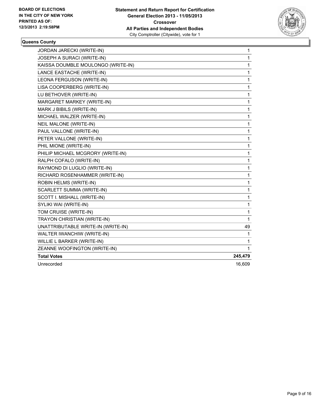

#### **Queens County**

| JORDAN JARECKI (WRITE-IN)          | 1       |
|------------------------------------|---------|
| JOSEPH A SURACI (WRITE-IN)         | 1       |
| KAISSA DOUMBLE MOULONGO (WRITE-IN) | 1       |
| LANCE EASTACHE (WRITE-IN)          | 1       |
| LEONA FERGUSON (WRITE-IN)          | 1       |
| LISA COOPERBERG (WRITE-IN)         | 1       |
| LU BETHOVER (WRITE-IN)             | 1       |
| MARGARET MARKEY (WRITE-IN)         | 1       |
| MARK J BIBILS (WRITE-IN)           | 1       |
| MICHAEL WALZER (WRITE-IN)          | 1       |
| <b>NEIL MALONE (WRITE-IN)</b>      | 1       |
| PAUL VALLONE (WRITE-IN)            | 1       |
| PETER VALLONE (WRITE-IN)           | 1       |
| PHIL MIONE (WRITE-IN)              | 1       |
| PHILIP MICHAEL MCGRORY (WRITE-IN)  | 1       |
| RALPH COFALO (WRITE-IN)            | 1       |
| RAYMOND DI LUGLIO (WRITE-IN)       | 1       |
| RICHARD ROSENHAMMER (WRITE-IN)     | 1       |
| ROBIN HELMS (WRITE-IN)             | 1       |
| SCARLETT SUMMA (WRITE-IN)          | 1       |
| SCOTT I. MISHALL (WRITE-IN)        | 1       |
| SYLIKI WAI (WRITE-IN)              | 1       |
| TOM CRUISE (WRITE-IN)              | 1       |
| TRAYON CHRISTIAN (WRITE-IN)        | 1       |
| UNATTRIBUTABLE WRITE-IN (WRITE-IN) | 49      |
| WALTER IWANCHIW (WRITE-IN)         | 1       |
| WILLIE L BARKER (WRITE-IN)         | 1       |
| ZEANNE WOOFINGTON (WRITE-IN)       | 1       |
| <b>Total Votes</b>                 | 245,479 |
| Unrecorded                         | 16,609  |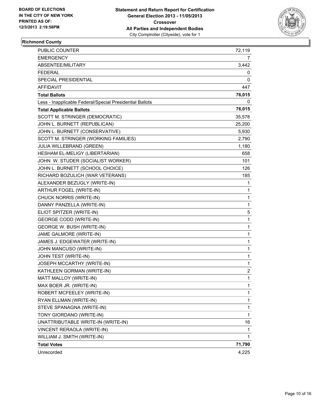

### **Richmond County**

| <b>PUBLIC COUNTER</b>                                    | 72,119 |
|----------------------------------------------------------|--------|
| <b>EMERGENCY</b>                                         | 7      |
| ABSENTEE/MILITARY                                        | 3,442  |
| <b>FEDERAL</b>                                           | 0      |
| SPECIAL PRESIDENTIAL                                     | 0      |
| <b>AFFIDAVIT</b>                                         | 447    |
| <b>Total Ballots</b>                                     | 76,015 |
| Less - Inapplicable Federal/Special Presidential Ballots | 0      |
| <b>Total Applicable Ballots</b>                          | 76,015 |
| SCOTT M. STRINGER (DEMOCRATIC)                           | 35,578 |
| JOHN L. BURNETT (REPUBLICAN)                             | 25,200 |
| JOHN L. BURNETT (CONSERVATIVE)                           | 5,930  |
| SCOTT M. STRINGER (WORKING FAMILIES)                     | 2,790  |
| JULIA WILLEBRAND (GREEN)                                 | 1,180  |
| HESHAM EL-MELIGY (LIBERTARIAN)                           | 658    |
| JOHN W. STUDER (SOCIALIST WORKER)                        | 101    |
| JOHN L. BURNETT (SCHOOL CHOICE)                          | 126    |
| RICHARD BOZULICH (WAR VETERANS)                          | 185    |
| ALEXANDER BEZUGLY (WRITE-IN)                             | 1      |
| ARTHUR FOGEL (WRITE-IN)                                  | 1      |
| CHUCK NORRIS (WRITE-IN)                                  | 1      |
| DANNY PANZELLA (WRITE-IN)                                | 1      |
| ELIOT SPITZER (WRITE-IN)                                 | 5      |
| <b>GEORGE CODD (WRITE-IN)</b>                            | 1      |
| GEORGE W. BUSH (WRITE-IN)                                | 1      |
| JAME GALMORE (WRITE-IN)                                  | 1      |
| JAMES J. EDGEWATER (WRITE-IN)                            | 1      |
| JOHN MANCUSO (WRITE-IN)                                  | 1      |
| JOHN TEST (WRITE-IN)                                     | 1      |
| JOSEPH MCCARTHY (WRITE-IN)                               | 1      |
| KATHLEEN GORMAN (WRITE-IN)                               | 2      |
| MATT MALLOY (WRITE-IN)                                   | 1      |
| MAX BOER JR. (WRITE-IN)                                  | 1      |
| ROBERT MCFEELEY (WRITE-IN)                               | 1      |
| RYAN ELLMAN (WRITE-IN)                                   | 1      |
| STEVE SPANAGNA (WRITE-IN)                                | 1      |
| TONY GIORDANO (WRITE-IN)                                 | 1      |
| UNATTRIBUTABLE WRITE-IN (WRITE-IN)                       | 16     |
| VINCENT RERAOLA (WRITE-IN)                               | 1      |
| WILLIAM J. SMITH (WRITE-IN)                              | 1      |
| <b>Total Votes</b>                                       | 71,790 |
| Unrecorded                                               | 4,225  |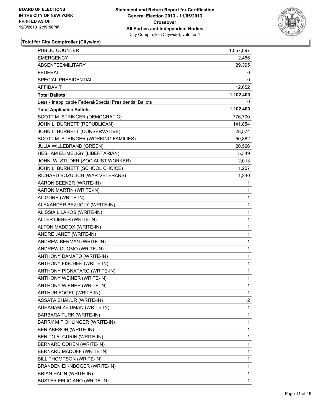

| PUBLIC COUNTER                                           | 1,057,897 |
|----------------------------------------------------------|-----------|
| <b>EMERGENCY</b>                                         | 2,456     |
| ABSENTEE/MILITARY                                        | 29,395    |
| <b>FEDERAL</b>                                           | 0         |
| SPECIAL PRESIDENTIAL                                     | 0         |
| AFFIDAVIT                                                | 12,652    |
| <b>Total Ballots</b>                                     | 1,102,400 |
| Less - Inapplicable Federal/Special Presidential Ballots | 0         |
| <b>Total Applicable Ballots</b>                          | 1,102,400 |
| SCOTT M. STRINGER (DEMOCRATIC)                           | 776,700   |
| JOHN L. BURNETT (REPUBLICAN)                             | 141,854   |
| JOHN L. BURNETT (CONSERVATIVE)                           | 28,574    |
| SCOTT M. STRINGER (WORKING FAMILIES)                     | 50,862    |
| JULIA WILLEBRAND (GREEN)                                 | 20,566    |
| HESHAM EL-MELIGY (LIBERTARIAN)                           | 5,349     |
| JOHN W. STUDER (SOCIALIST WORKER)                        | 2,013     |
| JOHN L. BURNETT (SCHOOL CHOICE)                          | 1,207     |
| RICHARD BOZULICH (WAR VETERANS)                          | 1,240     |
| AARON BEENER (WRITE-IN)                                  | 1         |
| AARON MARTIN (WRITE-IN)                                  | 1         |
| AL GORE (WRITE-IN)                                       | 1         |
| ALEXANDER BEZUGLY (WRITE-IN)                             | 1         |
| ALISSIA LILAKOS (WRITE-IN)                               | 1         |
| ALTER LIEBER (WRITE-IN)                                  | 1         |
| ALTON MADDOX (WRITE-IN)                                  | 1         |
| ANDRE JANET (WRITE-IN)                                   | 1         |
| ANDREW BERMAN (WRITE-IN)                                 | 1         |
| ANDREW CUOMO (WRITE-IN)                                  | 1         |
| ANTHONY DAMATO (WRITE-IN)                                | 1         |
| ANTHONY FISCHER (WRITE-IN)                               | 1         |
| ANTHONY PIGNATARO (WRITE-IN)                             | 1         |
| ANTHONY WEINER (WRITE-IN)                                | 1         |
| ANTHONY WIENER (WRITE-IN)                                | 1         |
| ARTHUR FOGEL (WRITE-IN)                                  | 1         |
| ASSATA SHAKUR (WRITE-IN)                                 | 2         |
| AURAHAM ZEIDMAN (WRITE-IN)                               | 1         |
| BARBARA TURK (WRITE-IN)                                  | 1         |
| BARRY M FIOHLINGER (WRITE-IN)                            | 1         |
| BEN ABESON (WRITE-IN)                                    | 1         |
| BENITO ALGURIN (WRITE-IN)                                | 1         |
| BERNARD COHEN (WRITE-IN)                                 | 1         |
| BERNARD MADOFF (WRITE-IN)                                | 1         |
| BILL THOMPSON (WRITE-IN)                                 | 1         |
| BRANDEN EIKNBOGER (WRITE-IN)                             | 1         |
| BRIAN HALIN (WRITE-IN)                                   | 1         |
| <b>BUSTER FELICIANO (WRITE-IN)</b>                       | 1         |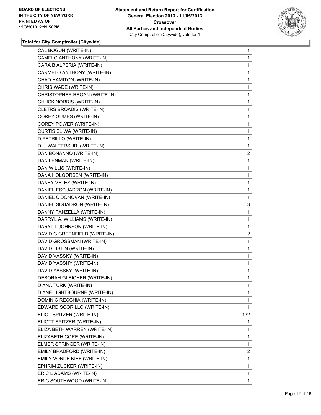

| CAL BOGUN (WRITE-IN)          | 1              |
|-------------------------------|----------------|
| CAMELO ANTHONY (WRITE-IN)     | 1              |
| CARA B ALPERIA (WRITE-IN)     | 1              |
| CARMELO ANTHONY (WRITE-IN)    | 1              |
| CHAD HAMITON (WRITE-IN)       | 1              |
| CHRIS WADE (WRITE-IN)         | 1              |
| CHRISTOPHER REGAN (WRITE-IN)  | 1              |
| CHUCK NORRIS (WRITE-IN)       | 1              |
| CLETRS BROADIS (WRITE-IN)     | 1              |
| COREY GUMBS (WRITE-IN)        | 1              |
| COREY POWER (WRITE-IN)        | 1              |
| CURTIS SLIWA (WRITE-IN)       | 1              |
| D PETRILLO (WRITE-IN)         | 1              |
| D.L. WALTERS JR. (WRITE-IN)   | 1              |
| DAN BONANNO (WRITE-IN)        | $\overline{c}$ |
| DAN LENMAN (WRITE-IN)         | 1              |
| DAN WILLIS (WRITE-IN)         | 1              |
| DANA HOLGORSEN (WRITE-IN)     | 1              |
| DANEY VELEZ (WRITE-IN)        | 1              |
| DANIEL ESCUADRON (WRITE-IN)   | 1              |
| DANIEL O'DONOVAN (WRITE-IN)   | 1              |
| DANIEL SQUADRON (WRITE-IN)    | 3              |
| DANNY PANZELLA (WRITE-IN)     | 1              |
| DARRYL A. WILLIAMS (WRITE-IN) | 1              |
| DARYL L JOHNSON (WRITE-IN)    | 1              |
| DAVID G GREENFIELD (WRITE-IN) | 2              |
| DAVID GROSSMAN (WRITE-IN)     | 1              |
| DAVID LISTIN (WRITE-IN)       | 1              |
| DAVID VASSKY (WRITE-IN)       | 1              |
| DAVID YASSHY (WRITE-IN)       | 1              |
| DAVID YASSKY (WRITE-IN)       | 1              |
| DEBORAH GLEICHER (WRITE-IN)   | 1              |
| DIANA TURK (WRITE-IN)         | 1              |
| DIANE LIGHTBOURNE (WRITE-IN)  | 1              |
| DOMINIC RECCHIA (WRITE-IN)    | 1              |
| EDWARD SCORILLO (WRITE-IN)    | $\mathbf{1}$   |
| ELIOT SPITZER (WRITE-IN)      | 132            |
| ELIOTT SPITZER (WRITE-IN)     | 1              |
| ELIZA BETH WARREN (WRITE-IN)  | 1              |
| ELIZABETH CORE (WRITE-IN)     | 1              |
| ELMER SPRINGER (WRITE-IN)     | 1              |
| EMILY BRADFORD (WRITE-IN)     | 2              |
| EMILY VONDE KIEF (WRITE-IN)   | 1              |
| EPHRIM ZUCKER (WRITE-IN)      | 1              |
| ERIC L ADAMS (WRITE-IN)       | 1              |
| ERIC SOUTHWOOD (WRITE-IN)     | 1              |
|                               |                |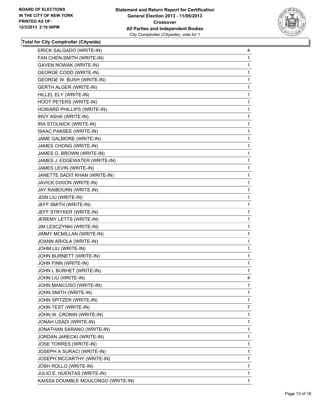

| ERICK SALGADO (WRITE-IN)           | 4            |
|------------------------------------|--------------|
| FAN CHEN-SMITH (WRITE-IN)          | 1            |
| GAVEN NOWAK (WRITE-IN)             | 1            |
| <b>GEORGE CODD (WRITE-IN)</b>      | 1            |
| GEORGE W. BUSH (WRITE-IN)          | 1            |
| <b>GERTH ALGER (WRITE-IN)</b>      | 1            |
| HILLEL ELY (WRITE-IN)              | 1            |
| HOOT PETERS (WRITE-IN)             | 1            |
| HOWARD PHILLIPS (WRITE-IN)         | 1            |
| INVY ASHA (WRITE-IN)               | 1            |
| IRA STOLNICK (WRITE-IN)            | 1            |
| ISAAC PANSEE (WRITE-IN)            | 1            |
| JAME GALMORE (WRITE-IN)            | 1            |
| JAMES CHONG (WRITE-IN)             | 1            |
| JAMES G. BROWN (WRITE-IN)          | 1            |
| JAMES J. EDGEWATER (WRITE-IN)      | 1            |
| JAMES LEVIN (WRITE-IN)             | 1            |
| JANETTE SADIT KHAN (WRITE-IN)      | 1            |
| JAVICK DIXION (WRITE-IN)           | 1            |
| JAY RAIBOURN (WRITE-IN)            | 1            |
| JDIN LIU (WRITE-IN)                | 1            |
| JEFF SMITH (WRITE-IN)              | 1            |
| JEFF STRYKER (WRITE-IN)            | 1            |
| JEREMY LETTS (WRITE-IN)            | 1            |
| JIM LESCZYNKI (WRITE-IN)           | 1            |
| JIMMY MCMILLAN (WRITE-IN)          | 1            |
| JOANN ARIOLA (WRITE-IN)            | 1            |
| JOHM LIU (WRITE-IN)                | 1            |
| JOHN BURNETT (WRITE-IN)            | 1            |
| JOHN FINN (WRITE-IN)               | 1            |
| JOHN L BURHET (WRITE-IN)           | 1            |
| JOHN LIU (WRITE-IN)                | 4            |
| JOHN MANCUSO (WRITE-IN)            | 1            |
| JOHN SMITH (WRITE-IN)              | 1            |
| JOHN SPITZER (WRITE-IN)            | 1            |
| JOHN TEST (WRITE-IN)               | 7            |
| JOHN W. CRONIN (WRITE-IN)          | 1            |
| JONAH USADI (WRITE-IN)             | 1            |
| JONATHAN SARANO (WRITE-IN)         | 1            |
| JORDAN JARECKI (WRITE-IN)          | 1            |
| JOSE TORRES (WRITE-IN)             | 1            |
| JOSEPH A SURACI (WRITE-IN)         | $\mathbf{1}$ |
| JOSEPH MCCARTHY (WRITE-IN)         | 1            |
| <b>JOSH ROLLO (WRITE-IN)</b>       | 1            |
| JULIO E. HUENTAS (WRITE-IN)        | 1            |
| KAISSA DOUMBLE MOULONGO (WRITE-IN) | 1            |
|                                    |              |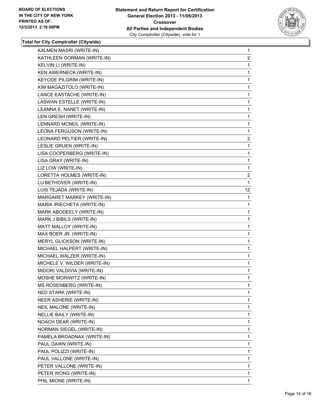

| KALMEN MASRI (WRITE-IN)          | $\mathbf{1}$ |
|----------------------------------|--------------|
| KATHLEEN GORMAN (WRITE-IN)       | 2            |
| KELVIN LI (WRITE-IN)             | 1            |
| KEN AWERNECK (WRITE-IN)          | 1            |
| <b>KEYODE PILGRIM (WRITE-IN)</b> | 1            |
| KIM MAGAZITOLO (WRITE-IN)        | 1            |
| LANCE EASTACHE (WRITE-IN)        | 1            |
| LASWAN ESTELLE (WRITE-IN)        | 1            |
| LEANNA E. NANET (WRITE-IN)       | 1            |
| LEN GRESH (WRITE-IN)             | 1            |
| LENNARD MCNEIL (WRITE-IN)        | 1            |
| LEONA FERGUSON (WRITE-IN)        | 1            |
| LEONARD PELTIER (WRITE-IN)       | 2            |
| LESLIE GRUEN (WRITE-IN)          | 1            |
| LISA COOPERBERG (WRITE-IN)       | 1            |
| LISA GRAY (WRITE-IN)             | 1            |
| LIZ LOW (WRITE-IN)               | 1            |
| LORETTA HOLMES (WRITE-IN)        | 2            |
| LU BETHOVER (WRITE-IN)           | 1            |
| LUIS TEJADA (WRITE-IN)           | 12           |
| MARGARET MARKEY (WRITE-IN)       | $\mathbf{1}$ |
| MARIA IRIECHETA (WRITE-IN)       | 1            |
| MARK ABODEELY (WRITE-IN)         | 1            |
| MARK J BIBILS (WRITE-IN)         | 1            |
| MATT MALLOY (WRITE-IN)           | 1            |
| MAX BOER JR. (WRITE-IN)          | 1            |
| MERYL GLICKSON (WRITE-IN)        | 1            |
| MICHAEL HALPERT (WRITE-IN)       | 1            |
| MICHAEL WALZER (WRITE-IN)        | 1            |
| MICHELE V. WILDER (WRITE-IN)     | 1            |
| MIDORI VALDIVIA (WRITE-IN)       | 1            |
| MOSHE MORIWITZ (WRITE-IN)        | 1            |
| MS ROSENBERG (WRITE-IN)          | 1            |
| <b>NED STARK (WRITE-IN)</b>      | 1            |
| NEER ASHERIE (WRITE-IN)          | 1            |
| NEIL MALONE (WRITE-IN)           | 1            |
| NELLIE BAILY (WRITE-IN)          | 1            |
| NOACH DEAR (WRITE-IN)            | 1            |
| NORMAN SIEGEL (WRITE-IN)         | 1            |
| PAMELA BROADNAX (WRITE-IN)       | 1            |
| PAUL DAWN (WRITE-IN)             | 1            |
| PAUL POLIZZI (WRITE-IN)          | 1            |
| PAUL VALLONE (WRITE-IN)          | 1            |
| PETER VALLONE (WRITE-IN)         | 1            |
| PETER WONG (WRITE-IN)            | 1            |
| PHIL MIONE (WRITE-IN)            | 1            |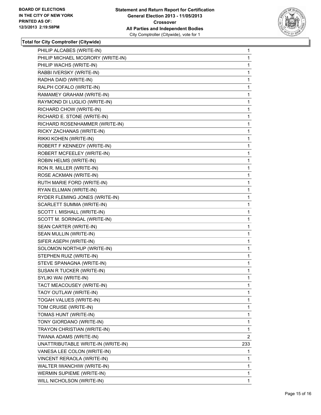

| PHILIP ALCABES (WRITE-IN)          | 1   |
|------------------------------------|-----|
| PHILIP MICHAEL MCGRORY (WRITE-IN)  | 1   |
| PHILIP WACHS (WRITE-IN)            | 1   |
| RABBI IVERSKY (WRITE-IN)           | 1   |
| RADHA DAID (WRITE-IN)              | 1   |
| RALPH COFALO (WRITE-IN)            | 1   |
| RAMAMEY GRAHAM (WRITE-IN)          | 1   |
| RAYMOND DI LUGLIO (WRITE-IN)       | 1   |
| RICHARD CHOW (WRITE-IN)            | 1   |
| RICHARD E. STONE (WRITE-IN)        | 1   |
| RICHARD ROSENHAMMER (WRITE-IN)     | 1   |
| RICKY ZACHANAS (WRITE-IN)          | 1   |
| RIKKI KOHEN (WRITE-IN)             | 1   |
| ROBERT F KENNEDY (WRITE-IN)        | 1   |
| ROBERT MCFEELEY (WRITE-IN)         | 1   |
| ROBIN HELMS (WRITE-IN)             | 1   |
| RON R. MILLER (WRITE-IN)           | 1   |
| ROSE ACKMAN (WRITE-IN)             | 1   |
| RUTH MARIE FORD (WRITE-IN)         | 1   |
| RYAN ELLMAN (WRITE-IN)             | 1   |
| RYDER FLEMING JONES (WRITE-IN)     | 1   |
| SCARLETT SUMMA (WRITE-IN)          | 1   |
| SCOTT I. MISHALL (WRITE-IN)        | 1   |
| SCOTT M. SORINGAL (WRITE-IN)       | 1   |
| SEAN CARTER (WRITE-IN)             | 1   |
| SEAN MULLIN (WRITE-IN)             | 1   |
| SIFER ASEPH (WRITE-IN)             | 1   |
| SOLOMON NORTHUP (WRITE-IN)         | 1   |
| STEPHEN RUIZ (WRITE-IN)            | 1   |
| STEVE SPANAGNA (WRITE-IN)          | 1   |
| SUSAN R TUCKER (WRITE-IN)          | 1   |
| SYLIKI WAI (WRITE-IN)              | 1   |
| TACT MEACOUSEY (WRITE-IN)          | 1   |
| TAOY OUTLAW (WRITE-IN)             | 1   |
| TOGAH VALUES (WRITE-IN)            | 1   |
| TOM CRUISE (WRITE-IN)              | 1   |
| TOMAS HUNT (WRITE-IN)              | 1   |
| TONY GIORDANO (WRITE-IN)           | 1   |
| TRAYON CHRISTIAN (WRITE-IN)        | 1   |
| TWANA ADAMS (WRITE-IN)             | 2   |
| UNATTRIBUTABLE WRITE-IN (WRITE-IN) | 233 |
| VANESA LEE COLON (WRITE-IN)        | 1   |
| VINCENT RERAOLA (WRITE-IN)         | 1   |
| WALTER IWANCHIW (WRITE-IN)         | 1   |
| <b>WERMIN SUPIEME (WRITE-IN)</b>   | 1   |
| WILL NICHOLSON (WRITE-IN)          | 1   |